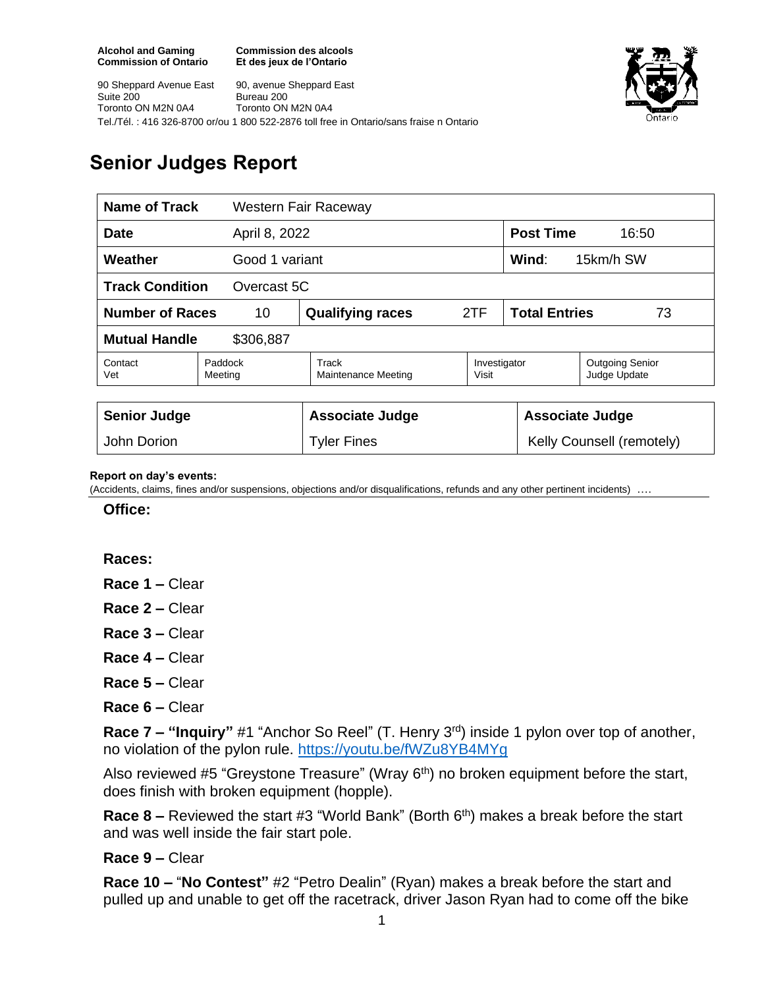**Commission des alcools Et des jeux de l'Ontario**



90 Sheppard Avenue East Suite 200 Toronto ON M2N 0A4 90, avenue Sheppard East Bureau 200 Toronto ON M2N 0A4 Tel./Tél. : 416 326-8700 or/ou 1 800 522-2876 toll free in Ontario/sans fraise n Ontario

# **Senior Judges Report**

| <b>Name of Track</b>                  |                    | Western Fair Raceway         |                       |                            |                                        |  |
|---------------------------------------|--------------------|------------------------------|-----------------------|----------------------------|----------------------------------------|--|
| <b>Date</b><br>April 8, 2022          |                    |                              |                       | <b>Post Time</b><br>16:50  |                                        |  |
| Weather<br>Good 1 variant             |                    |                              |                       | Wind:                      | 15km/h SW                              |  |
| <b>Track Condition</b><br>Overcast 5C |                    |                              |                       |                            |                                        |  |
| <b>Number of Races</b><br>10          |                    | <b>Qualifying races</b>      | 2TF                   | <b>Total Entries</b><br>73 |                                        |  |
| <b>Mutual Handle</b><br>\$306,887     |                    |                              |                       |                            |                                        |  |
| Contact<br>Vet                        | Paddock<br>Meeting | Track<br>Maintenance Meeting | Investigator<br>Visit |                            | <b>Outgoing Senior</b><br>Judge Update |  |
|                                       |                    |                              |                       |                            |                                        |  |
| <b>Senior Judge</b>                   |                    | <b>Associate Judge</b>       |                       | <b>Associate Judge</b>     |                                        |  |
| John Dorion                           |                    | <b>Tyler Fines</b>           |                       |                            | Kelly Counsell (remotely)              |  |

#### **Report on day's events:**

(Accidents, claims, fines and/or suspensions, objections and/or disqualifications, refunds and any other pertinent incidents) ….

**Office:**

### **Races:**

- **Race 1 –** Clear
- **Race 2 –** Clear
- **Race 3 –** Clear
- **Race 4 –** Clear
- **Race 5 –** Clear
- **Race 6 –** Clear

**Race 7 – "Inquiry"** #1 "Anchor So Reel" (T. Henry 3rd) inside 1 pylon over top of another, no violation of the pylon rule. <https://youtu.be/fWZu8YB4MYg>

Also reviewed #5 "Greystone Treasure" (Wray 6<sup>th</sup>) no broken equipment before the start, does finish with broken equipment (hopple).

**Race 8 –** Reviewed the start #3 "World Bank" (Borth 6<sup>th</sup>) makes a break before the start and was well inside the fair start pole.

### **Race 9 –** Clear

**Race 10 –** "**No Contest"** #2 "Petro Dealin" (Ryan) makes a break before the start and pulled up and unable to get off the racetrack, driver Jason Ryan had to come off the bike